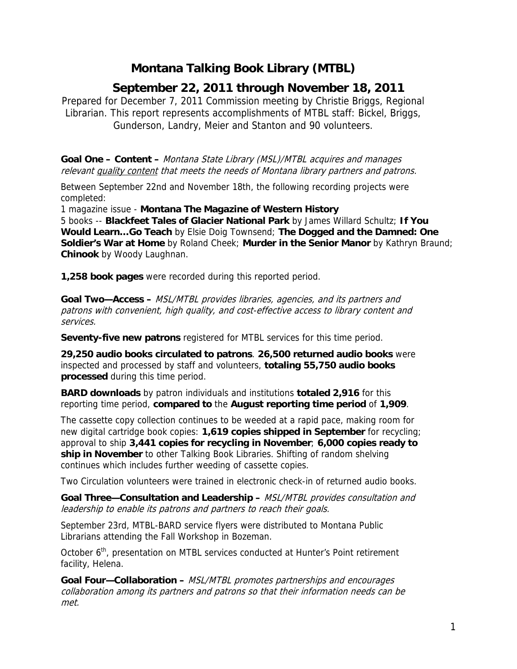## **Montana Talking Book Library (MTBL)**

## **September 22, 2011 through November 18, 2011**

Prepared for December 7, 2011 Commission meeting by Christie Briggs, Regional Librarian. This report represents accomplishments of MTBL staff: Bickel, Briggs, Gunderson, Landry, Meier and Stanton and 90 volunteers.

**Goal One – Content –** Montana State Library (MSL)/MTBL acquires and manages relevant quality content that meets the needs of Montana library partners and patrons.

Between September 22nd and November 18th, the following recording projects were completed:

1 magazine issue - **Montana The Magazine of Western History**

5 books -- **Blackfeet Tales of Glacier National Park** by James Willard Schultz; **If You Would Learn…Go Teach** by Elsie Doig Townsend; **The Dogged and the Damned: One Soldier's War at Home** by Roland Cheek; **Murder in the Senior Manor** by Kathryn Braund; **Chinook** by Woody Laughnan.

**1,258 book pages** were recorded during this reported period.

**Goal Two—Access –** MSL/MTBL provides libraries, agencies, and its partners and patrons with convenient, high quality, and cost-effective access to library content and services.

**Seventy-five new patrons** registered for MTBL services for this time period.

**29,250 audio books circulated to patrons**. **26,500 returned audio books** were inspected and processed by staff and volunteers, **totaling 55,750 audio books processed** during this time period.

**BARD downloads** by patron individuals and institutions **totaled 2,916** for this reporting time period, **compared to** the **August reporting time period** of **1,909**.

The cassette copy collection continues to be weeded at a rapid pace, making room for new digital cartridge book copies: **1,619 copies shipped in September** for recycling; approval to ship **3,441 copies for recycling in November**; **6,000 copies ready to ship in November** to other Talking Book Libraries. Shifting of random shelving continues which includes further weeding of cassette copies.

Two Circulation volunteers were trained in electronic check-in of returned audio books.

**Goal Three—Consultation and Leadership –** MSL/MTBL provides consultation and leadership to enable its patrons and partners to reach their goals.

September 23rd, MTBL-BARD service flyers were distributed to Montana Public Librarians attending the Fall Workshop in Bozeman.

October 6<sup>th</sup>, presentation on MTBL services conducted at Hunter's Point retirement facility, Helena.

**Goal Four—Collaboration –** MSL/MTBL promotes partnerships and encourages collaboration among its partners and patrons so that their information needs can be met.